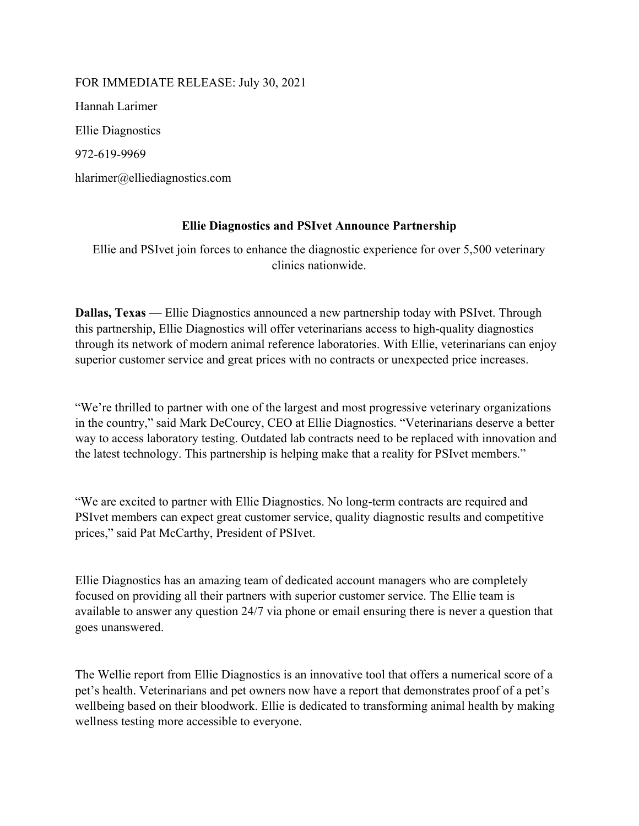FOR IMMEDIATE RELEASE: July 30, 2021 Hannah Larimer Ellie Diagnostics 972-619-9969 hlarimer@elliediagnostics.com

## Ellie Diagnostics and PSIvet Announce Partnership

Ellie and PSIvet join forces to enhance the diagnostic experience for over 5,500 veterinary clinics nationwide.

Dallas, Texas — Ellie Diagnostics announced a new partnership today with PSIvet. Through this partnership, Ellie Diagnostics will offer veterinarians access to high-quality diagnostics through its network of modern animal reference laboratories. With Ellie, veterinarians can enjoy superior customer service and great prices with no contracts or unexpected price increases.

"We're thrilled to partner with one of the largest and most progressive veterinary organizations in the country," said Mark DeCourcy, CEO at Ellie Diagnostics. "Veterinarians deserve a better way to access laboratory testing. Outdated lab contracts need to be replaced with innovation and the latest technology. This partnership is helping make that a reality for PSIvet members."

"We are excited to partner with Ellie Diagnostics. No long-term contracts are required and PSIvet members can expect great customer service, quality diagnostic results and competitive prices," said Pat McCarthy, President of PSIvet.

Ellie Diagnostics has an amazing team of dedicated account managers who are completely focused on providing all their partners with superior customer service. The Ellie team is available to answer any question 24/7 via phone or email ensuring there is never a question that goes unanswered.

The Wellie report from Ellie Diagnostics is an innovative tool that offers a numerical score of a pet's health. Veterinarians and pet owners now have a report that demonstrates proof of a pet's wellbeing based on their bloodwork. Ellie is dedicated to transforming animal health by making wellness testing more accessible to everyone.